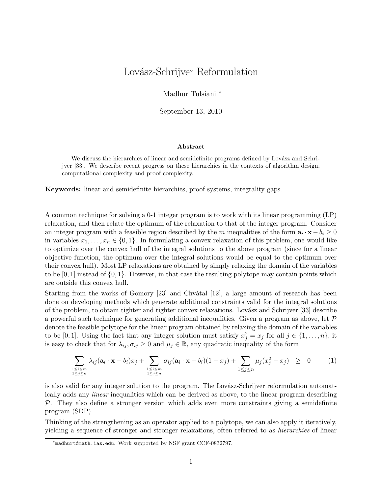# Lovász-Schrijver Reformulation

Madhur Tulsiani <sup>∗</sup>

September 13, 2010

#### Abstract

We discuss the hierarchies of linear and semidefinite programs defined by Lovász and Schrijver [33]. We describe recent progress on these hierarchies in the contexts of algorithm design, computational complexity and proof complexity.

Keywords: linear and semidefinite hierarchies, proof systems, integrality gaps.

A common technique for solving a 0-1 integer program is to work with its linear programming (LP) relaxation, and then relate the optimum of the relaxation to that of the integer program. Consider an integer program with a feasible region described by the m inequalities of the form  $a_i \cdot x - b_i \ge 0$ in variables  $x_1, \ldots, x_n \in \{0, 1\}$ . In formulating a convex relaxation of this problem, one would like to optimize over the convex hull of the integral solutions to the above program (since for a linear objective function, the optimum over the integral solutions would be equal to the optimum over their convex hull). Most LP relaxations are obtained by simply relaxing the domain of the variables to be  $[0, 1]$  instead of  $\{0, 1\}$ . However, in that case the resulting polytope may contain points which are outside this convex hull.

Starting from the works of Gomory  $[23]$  and Chvàtal  $[12]$ , a large amount of research has been done on developing methods which generate additional constraints valid for the integral solutions of the problem, to obtain tighter and tighter convex relaxations. Lovász and Schrijver [33] describe a powerful such technique for generating additional inequalities. Given a program as above, let  $\mathcal P$ denote the feasible polytope for the linear program obtained by relaxing the domain of the variables to be [0, 1]. Using the fact that any integer solution must satisfy  $x_j^2 = x_j$  for all  $j \in \{1, ..., n\}$ , it is easy to check that for  $\lambda_{ij}, \sigma_{ij} \geq 0$  and  $\mu_j \in \mathbb{R}$ , any quadratic inequality of the form

$$
\sum_{\substack{1 \leq i \leq m \\ 1 \leq j \leq n}} \lambda_{ij} (\mathbf{a}_i \cdot \mathbf{x} - b_i) x_j + \sum_{\substack{1 \leq i \leq m \\ 1 \leq j \leq n}} \sigma_{ij} (\mathbf{a}_i \cdot \mathbf{x} - b_i) (1 - x_j) + \sum_{1 \leq j \leq n} \mu_j (x_j^2 - x_j) \geq 0 \qquad (1)
$$

is also valid for any integer solution to the program. The Lovász-Schrijver reformulation automatically adds any linear inequalities which can be derived as above, to the linear program describing  $P$ . They also define a stronger version which adds even more constraints giving a semidefinite program (SDP).

Thinking of the strengthening as an operator applied to a polytope, we can also apply it iteratively, yielding a sequence of stronger and stronger relaxations, often referred to as hierarchies of linear

<sup>∗</sup> madhurt@math.ias.edu. Work supported by NSF grant CCF-0832797.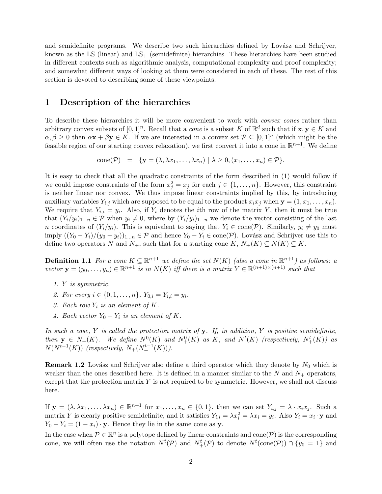and semidefinite programs. We describe two such hierarchies defined by Lovász and Schrijver, known as the LS (linear) and  $LS_+$  (semidefinite) hierarchies. These hierarchies have been studied in different contexts such as algorithmic analysis, computational complexity and proof complexity; and somewhat different ways of looking at them were considered in each of these. The rest of this section is devoted to describing some of these viewpoints.

### 1 Description of the hierarchies

To describe these hierarchies it will be more convenient to work with *convex cones* rather than arbitrary convex subsets of  $[0,1]^n$ . Recall that a *cone* is a subset K of  $\mathbb{R}^d$  such that if  $\mathbf{x}, \mathbf{y} \in K$  and  $\alpha, \beta \geq 0$  then  $\alpha \mathbf{x} + \beta \mathbf{y} \in K$ . If we are interested in a convex set  $\mathcal{P} \subseteq [0,1]^n$  (which might be the feasible region of our starting convex relaxation), we first convert it into a cone in  $\mathbb{R}^{n+1}$ . We define

cone
$$
(\mathcal{P}) = {\mathbf{y} = (\lambda, \lambda x_1, ..., \lambda x_n) | \lambda \geq 0, (x_1, ..., x_n) \in \mathcal{P}}
$$
.

It is easy to check that all the quadratic constraints of the form described in (1) would follow if we could impose constraints of the form  $x_j^2 = x_j$  for each  $j \in \{1, ..., n\}$ . However, this constraint is neither linear nor convex. We thus impose linear constraints implied by this, by introducing auxiliary variables  $Y_{i,j}$  which are supposed to be equal to the product  $x_ix_j$  when  $\mathbf{y} = (1, x_1, \ldots, x_n)$ . We require that  $Y_{i,i} = y_i$ . Also, if  $Y_i$  denotes the *i*th row of the matrix Y, then it must be true that  $(Y_i/y_i)_{1...n} \in \mathcal{P}$  when  $y_i \neq 0$ , where by  $(Y_i/y_i)_{1...n}$  we denote the vector consisting of the last n coordinates of  $(Y_i/y_i)$ . This is equivalent to saying that  $Y_i \in \text{cone}(\mathcal{P})$ . Similarly,  $y_i \neq y_0$  must imply  $((Y_0 - Y_i)/(y_0 - y_i))_{1...n} \in \mathcal{P}$  and hence  $Y_0 - Y_i \in \text{cone}(\mathcal{P})$ . Lovász and Schrijver use this to define two operators N and  $N_+$ , such that for a starting cone  $K, N_+(K) \subseteq N(K) \subseteq K$ .

**Definition 1.1** For a cone  $K \subseteq \mathbb{R}^{n+1}$  we define the set  $N(K)$  (also a cone in  $\mathbb{R}^{n+1}$ ) as follows: a vector  $\mathbf{y} = (y_0, \dots, y_n) \in \mathbb{R}^{n+1}$  is in  $N(K)$  iff there is a matrix  $Y \in \mathbb{R}^{(n+1)\times(n+1)}$  such that

- 1. Y is symmetric.
- 2. For every  $i \in \{0, 1, \ldots, n\}$ ,  $Y_{0,i} = Y_{i,i} = y_i$ .
- 3. Each row  $Y_i$  is an element of  $K$ .
- 4. Each vector  $Y_0 Y_i$  is an element of K.

In such a case, Y is called the protection matrix of  $\bf{v}$ . If, in addition, Y is positive semidefinite, then  $y \in N_+(K)$ . We define  $N^0(K)$  and  $N^0_+(K)$  as K, and  $N^t(K)$  (respectively,  $N^t_+(K)$ ) as  $N(N^{t-1}(K))$  (respectively,  $N_+(N^{t-1}_+(K))$ ).

**Remark 1.2** Lovász and Schrijver also define a third operator which they denote by  $N_0$  which is weaker than the ones described here. It is defined in a manner similar to the N and  $N_{+}$  operators, except that the protection matrix  $Y$  is not required to be symmetric. However, we shall not discuss here.

If  $\mathbf{y} = (\lambda, \lambda x_1, \dots, \lambda x_n) \in \mathbb{R}^{n+1}$  for  $x_1, \dots, x_n \in \{0, 1\}$ , then we can set  $Y_{i,j} = \lambda \cdot x_i x_j$ . Such a matrix Y is clearly positive semidefinite, and it satisfies  $Y_{i,i} = \lambda x_i^2 = \lambda x_i = y_i$ . Also  $Y_i = x_i \cdot y$  and  $Y_0 - Y_i = (1 - x_i) \cdot \mathbf{y}$ . Hence they lie in the same cone as  $\mathbf{y}$ .

In the case when  $P \in \mathbb{R}^n$  is a polytope defined by linear constraints and cone  $(P)$  is the corresponding cone, we will often use the notation  $N^t(\mathcal{P})$  and  $N^t_+(\mathcal{P})$  to denote  $N^t(\text{cone}(\mathcal{P})) \cap \{y_0 = 1\}$  and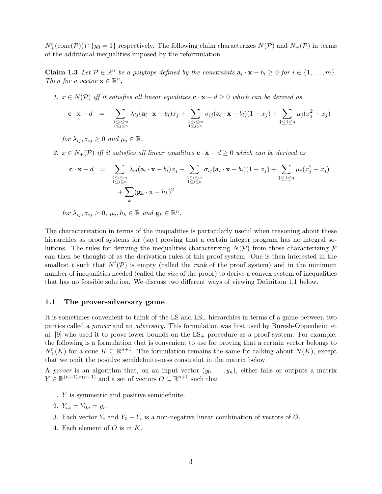$N^t_+(\text{cone}(\mathcal{P})) \cap \{y_0 = 1\}$  respectively. The following claim characterizes  $N(\mathcal{P})$  and  $N_+(\mathcal{P})$  in terms of the additional inequalities imposed by the reformulation.

**Claim 1.3** Let  $\mathcal{P} \in \mathbb{R}^n$  be a polytope defined by the constraints  $\mathbf{a}_i \cdot \mathbf{x} - b_i \geq 0$  for  $i \in \{1, ..., m\}$ . Then for a vector  $\mathbf{x} \in \mathbb{R}^n$ ,

1.  $x \in N(\mathcal{P})$  iff it satisfies all linear equalities  $c \cdot x - d \geq 0$  which can be derived as

$$
\mathbf{c} \cdot \mathbf{x} - d = \sum_{\substack{1 \leq i \leq m \\ 1 \leq j \leq n}} \lambda_{ij} (\mathbf{a}_i \cdot \mathbf{x} - b_i) x_j + \sum_{\substack{1 \leq i \leq m \\ 1 \leq j \leq n}} \sigma_{ij} (\mathbf{a}_i \cdot \mathbf{x} - b_i) (1 - x_j) + \sum_{1 \leq j \leq n} \mu_j (x_j^2 - x_j)
$$

for  $\lambda_{ij}, \sigma_{ij} \geq 0$  and  $\mu_j \in \mathbb{R}$ .

2.  $x \in N_+(\mathcal{P})$  iff it satisfies all linear equalities  $c \cdot x - d \geq 0$  which can be derived as

$$
\mathbf{c} \cdot \mathbf{x} - d = \sum_{\substack{1 \le i \le m \\ 1 \le j \le n}} \lambda_{ij} (\mathbf{a}_i \cdot \mathbf{x} - b_i) x_j + \sum_{\substack{1 \le i \le m \\ 1 \le j \le n}} \sigma_{ij} (\mathbf{a}_i \cdot \mathbf{x} - b_i) (1 - x_j) + \sum_{1 \le j \le n} \mu_j (x_j^2 - x_j)
$$
  
+ 
$$
\sum_k (\mathbf{g}_k \cdot \mathbf{x} - h_k)^2
$$

for  $\lambda_{ij}, \sigma_{ij} \geq 0$ ,  $\mu_j, h_k \in \mathbb{R}$  and  $\mathbf{g}_k \in \mathbb{R}^n$ .

The characterization in terms of the inequalities is particularly useful when reasoning about these hierarchies as proof systems for (say) proving that a certain integer program has no integral solutions. The rules for deriving the inequalities characterizing  $N(\mathcal{P})$  from those characterizing  $\mathcal{P}$ can then be thought of as the derivation rules of this proof system. One is then interested in the smallest t such that  $N^t(\mathcal{P})$  is empty (called the *rank* of the proof system) and in the minimum number of inequalities needed (called the *size* of the proof) to derive a convex system of inequalities that has no feasible solution. We discuss two different ways of viewing Definition 1.1 below.

#### 1.1 The prover-adversary game

It is sometimes convenient to think of the LS and  $LS<sub>+</sub>$  hierarchies in terms of a game between two parties called a prover and an adversary. This formulation was first used by Buresh-Oppenheim et al.  $[9]$  who used it to prove lower bounds on the  $LS_+$  procedure as a proof system. For example, the following is a formulation that is convenient to use for proving that a certain vector belongs to  $N_{+}^{t}(K)$  for a cone  $K \subseteq \mathbb{R}^{n+1}$ . The formulation remains the same for talking about  $N(K)$ , except that we omit the positive semidefinite-ness constraint in the matrix below.

A prover is an algorithm that, on an input vector  $(y_0, \ldots, y_n)$ , either fails or outputs a matrix  $Y \in \mathbb{R}^{(n+1)\times(n+1)}$  and a set of vectors  $O \subseteq \mathbb{R}^{n+1}$  such that

1. Y is symmetric and positive semidefinite.

2. 
$$
Y_{i,i} = Y_{0,i} = y_i
$$
.

- 3. Each vector  $Y_i$  and  $Y_0 Y_i$  is a non-negative linear combination of vectors of O.
- 4. Each element of  $O$  is in  $K$ .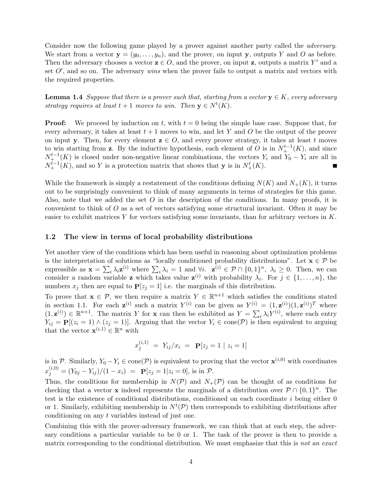Consider now the following game played by a prover against another party called the *adversary*. We start from a vector  $y = (y_0, \ldots, y_n)$ , and the prover, on input y, outputs Y and O as before. Then the adversary chooses a vector  $z \in O$ , and the prover, on input z, outputs a matrix Y' and a set  $O'$ , and so on. The adversary wins when the prover fails to output a matrix and vectors with the required properties.

**Lemma 1.4** Suppose that there is a prover such that, starting from a vector  $y \in K$ , every adversary strategy requires at least  $t+1$  moves to win. Then  $y \in N^t(K)$ .

**Proof:** We proceed by induction on t, with  $t = 0$  being the simple base case. Suppose that, for every adversary, it takes at least  $t+1$  moves to win, and let Y and O be the output of the prover on input y. Then, for every element  $z \in O$ , and every prover strategy, it takes at least t moves to win starting from z. By the inductive hypothesis, each element of O is in  $N_{+}^{t-1}(K)$ , and since  $N_{\pm}^{t-1}(K)$  is closed under non-negative linear combinations, the vectors  $Y_i$  and  $Y_0 - Y_i$  are all in  $N_{+}^{t-1}(K)$ , and so Y is a protection matrix that shows that y is in  $N_{+}^{t}(K)$ .

While the framework is simply a restatement of the conditions defining  $N(K)$  and  $N_{+}(K)$ , it turns out to be surprisingly convenient to think of many arguments in terms of strategies for this game. Also, note that we added the set  $O$  in the description of the conditions. In many proofs, it is convenient to think of  $O$  as a set of vectors satisfying some structural invariant. Often it may be easier to exhibit matrices Y for vectors satisfying some invariants, than for arbitrary vectors in  $K$ .

### 1.2 The view in terms of local probability distributions

Yet another view of the conditions which has been useful in reasoning about optimization problems is the interpretation of solutions as "locally conditioned probability distributions". Let  $\mathbf{x} \in \mathcal{P}$  be expressible as  $\mathbf{x} = \sum_i \lambda_i \mathbf{z}^{(i)}$  where  $\sum_i \lambda_i = 1$  and  $\forall i$ .  $\mathbf{z}^{(i)} \in \mathcal{P} \cap \{0, 1\}^n$ ,  $\lambda_i \geq 0$ . Then, we can consider a random variable **z** which takes value  $\mathbf{z}^{(i)}$  with probability  $\lambda_i$ . For  $j \in \{1, ..., n\}$ , the numbers  $x_j$  then are equal to  $P[z_j = 1]$  i.e. the marginals of this distribution.

To prove that  $\mathbf{x} \in \mathcal{P}$ , we then require a matrix  $Y \in \mathbb{R}^{n+1}$  which satisfies the conditions stated in section 1.1. For each  $\mathbf{z}^{(i)}$  such a matrix  $Y^{(i)}$  can be given as  $Y^{(i)} = (1, \mathbf{z}^{(i)})(1, \mathbf{z}^{(i)})^T$  where  $(1, \mathbf{z}^{(i)}) \in \mathbb{R}^{n+1}$ . The matrix Y for **x** can then be exhibited as  $Y = \sum_i \lambda_i Y^{(i)}$ , where each entry  $Y_{ij} = \mathbf{P}[(z_i = 1) \wedge (z_j = 1)].$  Arguing that the vector  $Y_i \in \text{cone}(\mathcal{P})$  is then equivalent to arguing that the vector  $\mathbf{x}^{(i,1)} \in \mathbb{R}^n$  with

$$
x_j^{(i,1)} = Y_{ij}/x_i = \mathbf{P}[z_j = 1 \mid z_i = 1]
$$

is in P. Similarly,  $Y_0 - Y_i \in \text{cone}(\mathcal{P})$  is equivalent to proving that the vector  $\mathbf{x}^{(i,0)}$  with coordinates  $x_j^{(i,0)} = (Y_{0j} - Y_{ij})/(1 - x_i) = \mathbf{P}[z_j = 1 | z_i = 0], \text{ is in } \mathcal{P}.$ 

Thus, the conditions for membership in  $N(\mathcal{P})$  and  $N_+(\mathcal{P})$  can be thought of as conditions for checking that a vector **x** indeed represents the marginals of a distribution over  $\mathcal{P} \cap \{0,1\}^n$ . The test is the existence of conditional distributions, conditioned on each coordinate i being either 0 or 1. Similarly, exhibiting membership in  $N^t(\mathcal{P})$  then corresponds to exhibiting distributions after conditioning on any t variables instead of just one.

Combining this with the prover-adversary framework, we can think that at each step, the adversary conditions a particular variable to be 0 or 1. The task of the prover is then to provide a matrix corresponding to the conditional distribution. We must emphasize that this is not an exact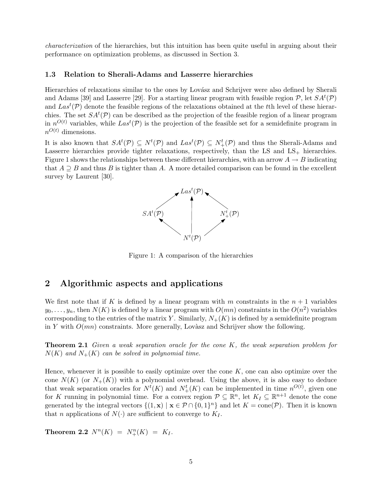characterization of the hierarchies, but this intuition has been quite useful in arguing about their performance on optimization problems, as discussed in Section 3.

### 1.3 Relation to Sherali-Adams and Lasserre hierarchies

Hierarchies of relaxations similar to the ones by Lovász and Schrijver were also defined by Sherali and Adams [39] and Lasserre [29]. For a starting linear program with feasible region  $P$ , let  $SA<sup>t</sup>(P)$ and  $Las<sup>t</sup>(P)$  denote the feasible regions of the relaxations obtained at the tth level of these hierarchies. The set  $SA^t(\mathcal{P})$  can be described as the projection of the feasible region of a linear program in  $n^{O(t)}$  variables, while  $Las<sup>t</sup>(P)$  is the projection of the feasible set for a semidefinite program in  $n^{O(t)}$  dimensions.

It is also known that  $SA^t(\mathcal{P}) \subseteq N^t(\mathcal{P})$  and  $Las^t(\mathcal{P}) \subseteq N^t_+(\mathcal{P})$  and thus the Sherali-Adams and Lasserre hierarchies provide tighter relaxations, respectively, than the LS and  $LS_{+}$  hierarchies. Figure 1 shows the relationships between these different hierarchies, with an arrow  $A \rightarrow B$  indicating that  $A \supseteq B$  and thus B is tighter than A. A more detailed comparison can be found in the excellent survey by Laurent [30].



Figure 1: A comparison of the hierarchies

### 2 Algorithmic aspects and applications

We first note that if K is defined by a linear program with m constraints in the  $n + 1$  variables  $y_0, \ldots, y_n$ , then  $N(K)$  is defined by a linear program with  $O(mn)$  constraints in the  $O(n^2)$  variables corresponding to the entries of the matrix Y. Similarly,  $N_{+}(K)$  is defined by a semidefinite program in Y with  $O(mn)$  constraints. More generally, Lovàsz and Schrijver show the following.

**Theorem 2.1** Given a weak separation oracle for the cone K, the weak separation problem for  $N(K)$  and  $N_{+}(K)$  can be solved in polynomial time.

Hence, whenever it is possible to easily optimize over the cone  $K$ , one can also optimize over the cone  $N(K)$  (or  $N_{+}(K)$ ) with a polynomial overhead. Using the above, it is also easy to deduce that weak separation oracles for  $N^t(K)$  and  $N^t_+(K)$  can be implemented in time  $n^{O(t)}$ , given one for K running in polynomial time. For a convex region  $P \subseteq \mathbb{R}^n$ , let  $K_I \subseteq \mathbb{R}^{n+1}$  denote the cone generated by the integral vectors  $\{(1, \mathbf{x}) \mid \mathbf{x} \in \mathcal{P} \cap \{0,1\}^n\}$  and let  $K = \text{cone}(\mathcal{P})$ . Then it is known that *n* applications of  $N(\cdot)$  are sufficient to converge to  $K_I$ .

**Theorem 2.2**  $N^n(K) = N^n_+(K) = K_I$ .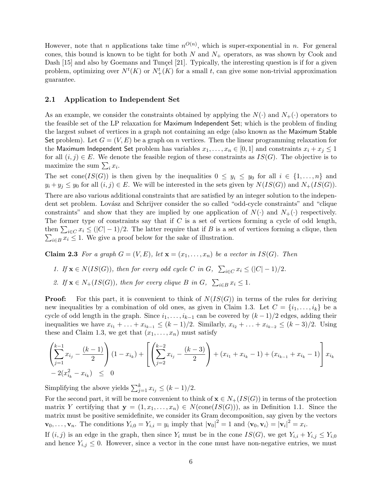However, note that *n* applications take time  $n^{O(n)}$ , which is super-exponential in *n*. For general cones, this bound is known to be tight for both  $N$  and  $N_+$  operators, as was shown by Cook and Dash [15] and also by Goemans and Tunçel [21]. Typically, the interesting question is if for a given problem, optimizing over  $N^t(K)$  or  $N^t_+(K)$  for a small t, can give some non-trivial approximation guarantee.

### 2.1 Application to Independent Set

As an example, we consider the constraints obtained by applying the  $N(\cdot)$  and  $N_+(\cdot)$  operators to the feasible set of the LP relaxation for Maximum Independent Set; which is the problem of finding the largest subset of vertices in a graph not containing an edge (also known as the Maximum Stable Set problem). Let  $G = (V, E)$  be a graph on n vertices. Then the linear programming relaxation for the Maximum Independent Set problem has variables  $x_1, \ldots, x_n \in [0,1]$  and constraints  $x_i + x_j \leq 1$ for all  $(i, j) \in E$ . We denote the feasible region of these constraints as  $IS(G)$ . The objective is to maximize the sum  $\sum_i x_i$ .

The set cone( $IS(G)$ ) is then given by the inequalities  $0 \leq y_i \leq y_0$  for all  $i \in \{1, \ldots, n\}$  and  $y_i + y_j \leq y_0$  for all  $(i, j) \in E$ . We will be interested in the sets given by  $N(IS(G))$  and  $N_+(IS(G))$ . There are also various additional constraints that are satisfied by an integer solution to the independent set problem. Lovász and Schrijver consider the so called "odd-cycle constraints" and "clique constraints" and show that they are implied by one application of  $N(\cdot)$  and  $N_+(\cdot)$  respectively. The former type of constraints say that if  $C$  is a set of vertices forming a cycle of odd length, then  $\sum_{i\in C} x_i \leq (|C|-1)/2$ . The latter require that if B is a set of vertices forming a clique, then  $\sum_{i\in B} x_i \leq 1$ . We give a proof below for the sake of illustration.

**Claim 2.3** For a graph  $G = (V, E)$ , let  $\mathbf{x} = (x_1, \ldots, x_n)$  be a vector in  $IS(G)$ . Then

- 1. If  $\mathbf{x} \in N(IS(G))$ , then for every odd cycle C in G,  $\sum_{i \in C} x_i \leq (|C| 1)/2$ .
- 2. If  $\mathbf{x} \in N_+(IS(G))$ , then for every clique B in G,  $\sum_{i \in B} x_i \leq 1$ .

**Proof:** For this part, it is convenient to think of  $N(IS(G))$  in terms of the rules for deriving new inequalities by a combination of old ones, as given in Claim 1.3. Let  $C = \{i_1, \ldots, i_k\}$  be a cycle of odd length in the graph. Since  $i_1, \ldots, i_{k-1}$  can be covered by  $(k-1)/2$  edges, adding their inequalities we have  $x_{i_1} + \ldots + x_{i_{k-1}} \le (k-1)/2$ . Similarly,  $x_{i_2} + \ldots + x_{i_{k-2}} \le (k-3)/2$ . Using these and Claim 1.3, we get that  $(x_1, \ldots, x_n)$  must satisfy

$$
\left(\sum_{j=1}^{k-1} x_{i_j} - \frac{(k-1)}{2}\right) (1 - x_{i_k}) + \left[ \left(\sum_{j=2}^{k-2} x_{i_j} - \frac{(k-3)}{2}\right) + (x_{i_1} + x_{i_k} - 1) + (x_{i_{k-1}} + x_{i_k} - 1) \right] x_{i_k}
$$
  
- 2(x<sub>i<sub>k</sub></sub><sup>2</sup> - x<sub>i<sub>k</sub></sub>)  $\leq 0$ 

Simplifying the above yields  $\sum_{j=1}^{k} x_{i_j} \leq (k-1)/2$ .

For the second part, it will be more convenient to think of  $\mathbf{x} \in N_{+}(IS(G))$  in terms of the protection matrix Y certifying that  $y = (1, x_1, \ldots, x_n) \in N(\text{cone}(IS(G))),$  as in Definition 1.1. Since the matrix must be positive semidefinite, we consider its Gram decomposition, say given by the vectors  $\mathbf{v}_0, \ldots, \mathbf{v}_n$ . The conditions  $Y_{i,0} = Y_{i,i} = y_i$  imply that  $|\mathbf{v}_0|^2 = 1$  and  $\langle \mathbf{v}_0, \mathbf{v}_i \rangle = |\mathbf{v}_i|^2 = x_i$ .

If  $(i, j)$  is an edge in the graph, then since  $Y_i$  must be in the cone  $IS(G)$ , we get  $Y_{i,i} + Y_{i,j} \leq Y_{i,0}$ and hence  $Y_{i,j} \leq 0$ . However, since a vector in the cone must have non-negative entries, we must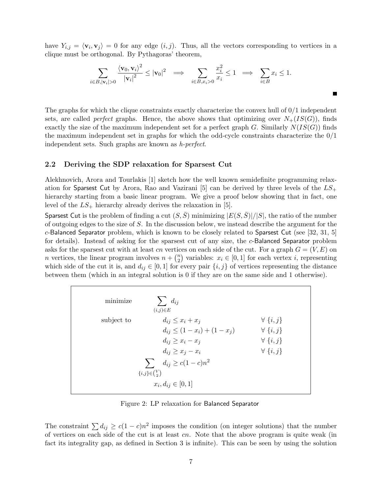have  $Y_{i,j} = \langle \mathbf{v}_i, \mathbf{v}_j \rangle = 0$  for any edge  $(i, j)$ . Thus, all the vectors corresponding to vertices in a clique must be orthogonal. By Pythagoras' theorem,

$$
\sum_{i \in B, |\mathbf{v}_i| > 0} \frac{\langle \mathbf{v}_0, \mathbf{v}_i \rangle^2}{|\mathbf{v}_i|^2} \le |\mathbf{v}_0|^2 \quad \Longrightarrow \quad \sum_{i \in B, x_i > 0} \frac{x_i^2}{x_i} \le 1 \quad \Longrightarrow \quad \sum_{i \in B} x_i \le 1.
$$

П

The graphs for which the clique constraints exactly characterize the convex hull of 0/1 independent sets, are called *perfect* graphs. Hence, the above shows that optimizing over  $N_{+}(IS(G))$ , finds exactly the size of the maximum independent set for a perfect graph G. Similarly  $N(IS(G))$  finds the maximum independent set in graphs for which the odd-cycle constraints characterize the 0/1 independent sets. Such graphs are known as h-perfect.

### 2.2 Deriving the SDP relaxation for Sparsest Cut

Alekhnovich, Arora and Tourlakis [1] sketch how the well known semidefinite programming relaxation for Sparsest Cut by Arora, Rao and Vazirani [5] can be derived by three levels of the  $LS_+$ hierarchy starting from a basic linear program. We give a proof below showing that in fact, one level of the  $LS_+$  hierarchy already derives the relaxation in [5].

Sparsest Cut is the problem of finding a cut  $(S, \overline{S})$  minimizing  $|E(S, \overline{S})|/|S|$ , the ratio of the number of outgoing edges to the size of S. In the discussion below, we instead describe the argument for the  $c$ -Balanced Separator problem, which is known to be closely related to Sparsest Cut (see [32, 31, 5] for details). Instead of asking for the sparsest cut of any size, the c-Balanced Separator problem asks for the sparsest cut with at least cn vertices on each side of the cut. For a graph  $G = (V, E)$  on *n* vertices, the linear program involves  $n + \binom{n}{2}$ <sup>n</sup></sup>/<sub>2</sub>) variables:  $x_i \in [0, 1]$  for each vertex *i*, representing which side of the cut it is, and  $d_{ij} \in [0,1]$  for every pair  $\{i, j\}$  of vertices representing the distance between them (which in an integral solution is 0 if they are on the same side and 1 otherwise).

| minimize                         | $d_{ij}$<br>$(i,j)\in E$        |                   |
|----------------------------------|---------------------------------|-------------------|
| subject to                       | $d_{ij} \leq x_i + x_j$         | $\forall \{i,j\}$ |
|                                  | $d_{ij} \leq (1-x_i) + (1-x_j)$ | $\forall \{i,j\}$ |
|                                  | $d_{ij} \geq x_i - x_j$         | $\forall \{i,j\}$ |
|                                  | $d_{ij} \geq x_j - x_i$         | $\forall \{i,j\}$ |
| $d_{ij} \ge c(1-c)n^2$<br>$\sum$ |                                 |                   |
| $\{i,j\} \in \binom{V}{2}$       |                                 |                   |
| $x_i, d_{ij} \in [0,1]$          |                                 |                   |

Figure 2: LP relaxation for Balanced Separator

The constraint  $\sum d_{ij} \ge c(1-c)n^2$  imposes the condition (on integer solutions) that the number of vertices on each side of the cut is at least  $cn$ . Note that the above program is quite weak (in fact its integrality gap, as defined in Section 3 is infinite). This can be seen by using the solution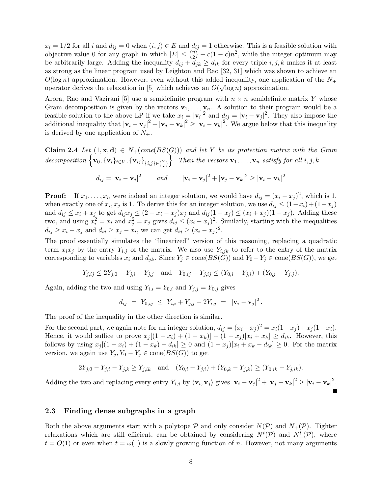$x_i = 1/2$  for all i and  $d_{ij} = 0$  when  $(i, j) \in E$  and  $d_{ij} = 1$  otherwise. This is a feasible solution with objective value 0 for any graph in which  $|E| \leq {n \choose 2}$  $\binom{n}{2} - c(1-c)n^2$ , while the integer optimum may be arbitrarily large. Adding the inequality  $d_{ij} + d_{jk} \geq d_{ik}$  for every triple  $i, j, k$  makes it at least as strong as the linear program used by Leighton and Rao [32, 31] which was shown to achieve an  $O(\log n)$  approximation. However, even without this added inequality, one application of the  $N_+$ operator derives the relaxation in [5] which achieves an  $O(\sqrt{\log n})$  approximation.

Arora, Rao and Vazirani [5] use a semidefinite program with  $n \times n$  semidefinite matrix Y whose Gram decomposition is given by the vectors  $\mathbf{v}_1, \ldots, \mathbf{v}_n$ . A solution to their program would be a feasible solution to the above LP if we take  $x_i = |\mathbf{v}_i|^2$  and  $d_{ij} = |\mathbf{v}_i - \mathbf{v}_j|^2$ . They also impose the additional inequality that  $|\mathbf{v}_i - \mathbf{v}_j|^2 + |\mathbf{v}_j - \mathbf{v}_k|^2 \geq |\mathbf{v}_i - \mathbf{v}_k|^2$ . We argue below that this inequality is derived by one application of  $N_{+}$ .

**Claim 2.4** Let  $(1, x, d) \in N_+$  (cone  $(BS(G))$ ) and let Y be its protection matrix with the Gram  $decomposition\left\{\textbf{v}_0, \{\textbf{v}_i\}_{i \in V}, \{\textbf{v}_{ij}\}_{\{i,j\} \in {V \choose 2}}\right\}$  $\big\}$ . Then the vectors  $\mathbf{v}_1, \ldots, \mathbf{v}_n$  satisfy for all  $i, j, k$ 

$$
d_{ij} = |\mathbf{v}_i - \mathbf{v}_j|^2 \qquad and \qquad |\mathbf{v}_i - \mathbf{v}_j|^2 + |\mathbf{v}_j - \mathbf{v}_k|^2 \ge |\mathbf{v}_i - \mathbf{v}_k|^2
$$

**Proof:** If  $x_1, \ldots, x_n$  were indeed an integer solution, we would have  $d_{ij} = (x_i - x_j)^2$ , which is 1, when exactly one of  $x_i, x_j$  is 1. To derive this for an integer solution, we use  $d_{ij} \leq (1-x_i) + (1-x_j)$ and  $d_{ij} \leq x_i + x_j$  to get  $d_{ij}x_j \leq (2 - x_i - x_j)x_j$  and  $d_{ij}(1 - x_j) \leq (x_i + x_j)(1 - x_j)$ . Adding these two, and using  $x_i^2 = x_i$  and  $x_j^2 = x_j$  gives  $d_{ij} \leq (x_i - x_j)^2$ . Similarly, starting with the inequalities  $d_{ij} \geq x_i - x_j$  and  $d_{ij} \geq x_j - x_i$ , we can get  $d_{ij} \geq (x_i - x_j)^2$ .

The proof essentially simulates the "linearized" version of this reasoning, replacing a quadratic term  $x_ix_j$  by the entry  $Y_{i,j}$  of the matrix. We also use  $Y_{i,jk}$  to refer to the entry of the matrix corresponding to variables  $x_i$  and  $d_{jk}$ . Since  $Y_j \in \text{cone}(BS(G))$  and  $Y_0 - Y_j \in \text{cone}(BS(G))$ , we get

$$
Y_{j,ij} \le 2Y_{j,0} - Y_{j,i} - Y_{j,j}
$$
 and  $Y_{0,ij} - Y_{j,ij} \le (Y_{0,i} - Y_{j,i}) + (Y_{0,j} - Y_{j,j}).$ 

Again, adding the two and using  $Y_{i,i} = Y_{0,i}$  and  $Y_{j,j} = Y_{0,j}$  gives

$$
d_{ij} = Y_{0,ij} \leq Y_{i,i} + Y_{j,j} - 2Y_{i,j} = |\mathbf{v}_i - \mathbf{v}_j|^2.
$$

The proof of the inequality in the other direction is similar.

For the second part, we again note for an integer solution,  $d_{ij} = (x_i - x_j)^2 = x_i(1-x_j) + x_j(1-x_i)$ . Hence, it would suffice to prove  $x_j[(1-x_i)+(1-x_k)]+(1-x_j)[x_i+x_k] \geq d_{ik}$ . However, this follows by using  $x_j [(1-x_i) + (1-x_k) - d_{ik}] \ge 0$  and  $(1-x_j)[x_i + x_k - d_{ik}] \ge 0$ . For the matrix version, we again use  $Y_j, Y_0 - Y_j \in \text{cone}(BS(G))$  to get

$$
2Y_{j,0} - Y_{j,i} - Y_{j,k} \ge Y_{j,ik} \quad \text{and} \quad (Y_{0,i} - Y_{j,i}) + (Y_{0,k} - Y_{j,k}) \ge (Y_{0,ik} - Y_{j,ik}).
$$

Adding the two and replacing every entry  $Y_{i,j}$  by  $\langle \mathbf{v}_i, \mathbf{v}_j \rangle$  gives  $|\mathbf{v}_i - \mathbf{v}_j|^2 + |\mathbf{v}_j - \mathbf{v}_k|^2 \ge |\mathbf{v}_i - \mathbf{v}_k|^2$ .

### 2.3 Finding dense subgraphs in a graph

Both the above arguments start with a polytope  $P$  and only consider  $N(P)$  and  $N_+(P)$ . Tighter relaxations which are still efficient, can be obtained by considering  $N^t(\mathcal{P})$  and  $N^t_+(\mathcal{P})$ , where  $t = O(1)$  or even when  $t = \omega(1)$  is a slowly growing function of n. However, not many arguments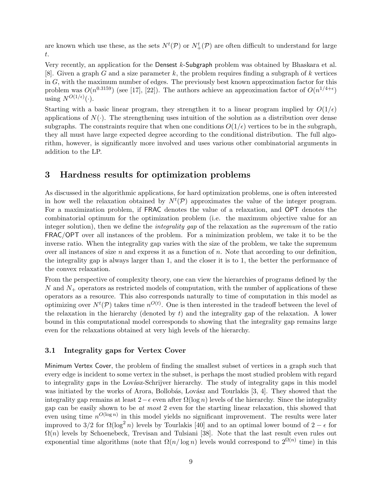are known which use these, as the sets  $N^t(\mathcal{P})$  or  $N^t_+(\mathcal{P})$  are often difficult to understand for large t.

Very recently, an application for the Densest k-Subgraph problem was obtained by Bhaskara et al. [8]. Given a graph G and a size parameter k, the problem requires finding a subgraph of k vertices in  $G$ , with the maximum number of edges. The previously best known approximation factor for this problem was  $O(n^{0.3159})$  (see [17], [22]). The authors achieve an approximation factor of  $O(n^{1/4+\epsilon})$ using  $N^{O(1/\epsilon)}(\cdot)$ .

Starting with a basic linear program, they strengthen it to a linear program implied by  $O(1/\epsilon)$ applications of  $N(\cdot)$ . The strengthening uses intuition of the solution as a distribution over dense subgraphs. The constraints require that when one conditions  $O(1/\epsilon)$  vertices to be in the subgraph, they all must have large expected degree according to the conditional distribution. The full algorithm, however, is significantly more involved and uses various other combinatorial arguments in addition to the LP.

### 3 Hardness results for optimization problems

As discussed in the algorithmic applications, for hard optimization problems, one is often interested in how well the relaxation obtained by  $N^t(\mathcal{P})$  approximates the value of the integer program. For a maximization problem, if FRAC denotes the value of a relaxation, and OPT denotes the combinatorial optimum for the optimization problem (i.e. the maximum objective value for an integer solution), then we define the *integrality gap* of the relaxation as the *supremum* of the ratio FRAC/OPT over all instances of the problem. For a minimization problem, we take it to be the inverse ratio. When the integrality gap varies with the size of the problem, we take the supremum over all instances of size  $n$  and express it as a function of  $n$ . Note that according to our definition, the integrality gap is always larger than 1, and the closer it is to 1, the better the performance of the convex relaxation.

From the perspective of complexity theory, one can view the hierarchies of programs defined by the  $N$  and  $N_{+}$  operators as restricted models of computation, with the number of applications of these operators as a resource. This also corresponds naturally to time of computation in this model as optimizing over  $N^t(\mathcal{P})$  takes time  $n^{O(t)}$ . One is then interested in the tradeoff between the level of the relaxation in the hierarchy (denoted by  $t$ ) and the integrality gap of the relaxation. A lower bound in this computational model corresponds to showing that the integrality gap remains large even for the relaxations obtained at very high levels of the hierarchy.

### 3.1 Integrality gaps for Vertex Cover

Minimum Vertex Cover, the problem of finding the smallest subset of vertices in a graph such that every edge is incident to some vertex in the subset, is perhaps the most studied problem with regard to integrality gaps in the Lovász-Schrijver hierarchy. The study of integrality gaps in this model was initiated by the works of Arora, Bollobás, Lovász and Tourlakis  $[3, 4]$ . They showed that the integrality gap remains at least  $2-\epsilon$  even after  $\Omega(\log n)$  levels of the hierarchy. Since the integrality gap can be easily shown to be at most 2 even for the starting linear relaxation, this showed that even using time  $n^{O(\log n)}$  in this model yields no significant improvement. The results were later improved to 3/2 for  $\Omega(\log^2 n)$  levels by Tourlakis [40] and to an optimal lower bound of  $2 - \epsilon$  for  $\Omega(n)$  levels by Schoenebeck, Trevisan and Tulsiani [38]. Note that the last result even rules out exponential time algorithms (note that  $\Omega(n/\log n)$  levels would correspond to  $2^{\Omega(n)}$  time) in this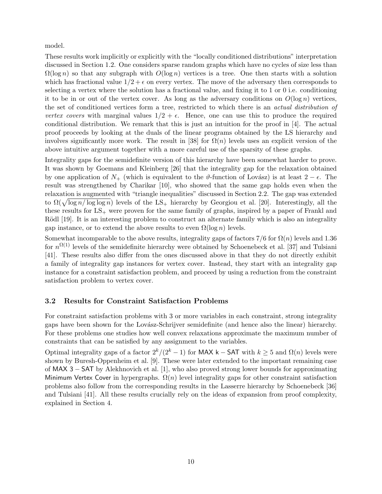model.

These results work implicitly or explicitly with the "locally conditioned distributions" interpretation discussed in Section 1.2. One considers sparse random graphs which have no cycles of size less than  $\Omega(\log n)$  so that any subgraph with  $O(\log n)$  vertices is a tree. One then starts with a solution which has fractional value  $1/2 + \epsilon$  on every vertex. The move of the adversary then corresponds to selecting a vertex where the solution has a fractional value, and fixing it to 1 or 0 i.e. conditioning it to be in or out of the vertex cover. As long as the adversary conditions on  $O(\log n)$  vertices, the set of conditioned vertices form a tree, restricted to which there is an actual distribution of vertex covers with marginal values  $1/2 + \epsilon$ . Hence, one can use this to produce the required conditional distribution. We remark that this is just an intuition for the proof in [4]. The actual proof proceeds by looking at the duals of the linear programs obtained by the LS hierarchy and involves significantly more work. The result in [38] for  $\Omega(n)$  levels uses an explicit version of the above intuitive argument together with a more careful use of the sparsity of these graphs.

Integrality gaps for the semidefinite version of this hierarchy have been somewhat harder to prove. It was shown by Goemans and Kleinberg [26] that the integrality gap for the relaxation obtained by one application of  $N_{+}$  (which is equivalent to the  $\vartheta$ -function of Lovász) is at least  $2 - \epsilon$ . The result was strengthened by Charikar [10], who showed that the same gap holds even when the relaxation is augmented with "triangle inequalities" discussed in Section 2.2. The gap was extended to  $\Omega(\sqrt{\log n/\log \log n})$  levels of the LS<sub>+</sub> hierarchy by Georgiou et al. [20]. Interestingly, all the these results for  $LS_+$  were proven for the same family of graphs, inspired by a paper of Frankl and Rödl [19]. It is an interesting problem to construct an alternate family which is also an integrality gap instance, or to extend the above results to even  $\Omega(\log n)$  levels.

Somewhat incomparable to the above results, integrality gaps of factors  $7/6$  for  $\Omega(n)$  levels and 1.36 for  $n^{\Omega(1)}$  levels of the semidefinite hierarchy were obtained by Schoenebeck et al. [37] and Tulsiani [41]. These results also differ from the ones discussed above in that they do not directly exhibit a family of integrality gap instances for vertex cover. Instead, they start with an integrality gap instance for a constraint satisfaction problem, and proceed by using a reduction from the constraint satisfaction problem to vertex cover.

### 3.2 Results for Constraint Satisfaction Problems

For constraint satisfaction problems with 3 or more variables in each constraint, strong integrality gaps have been shown for the Lovász-Schrijver semidefinite (and hence also the linear) hierarchy. For these problems one studies how well convex relaxations approximate the maximum number of constraints that can be satisfied by any assignment to the variables.

Optimal integrality gaps of a factor  $2^{k}/(2^{k}-1)$  for MAX k – SAT with  $k \geq 5$  and  $\Omega(n)$  levels were shown by Buresh-Oppenheim et al. [9]. These were later extended to the important remaining case of MAX 3 − SAT by Alekhnovich et al. [1], who also proved strong lower bounds for approximating Minimum Vertex Cover in hypergraphs.  $\Omega(n)$  level integrality gaps for other constraint satisfaction problems also follow from the corresponding results in the Lasserre hierarchy by Schoenebeck [36] and Tulsiani [41]. All these results crucially rely on the ideas of expansion from proof complexity, explained in Section 4.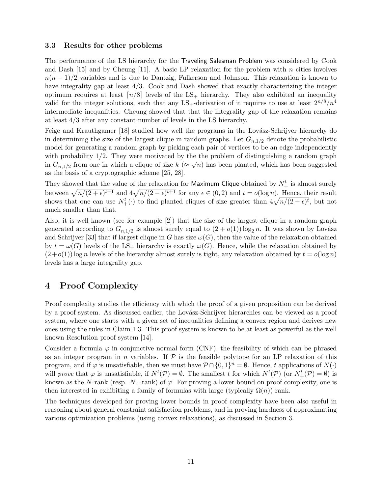### 3.3 Results for other problems

The performance of the LS hierarchy for the Traveling Salesman Problem was considered by Cook and Dash [15] and by Cheung [11]. A basic LP relaxation for the problem with n cities involves  $n(n-1)/2$  variables and is due to Dantzig, Fulkerson and Johnson. This relaxation is known to have integrality gap at least 4/3. Cook and Dash showed that exactly characterizing the integer optimum requires at least  $\lceil n/8 \rceil$  levels of the LS<sub>+</sub> hierarchy. They also exhibited an inequality valid for the integer solutions, such that any  $LS_+$ -derivation of it requires to use at least  $2^{n/8}/n^4$ intermediate inequalities. Cheung showed that that the integrality gap of the relaxation remains at least 4/3 after any constant number of levels in the LS hierarchy.

Feige and Krauthgamer [18] studied how well the programs in the Lovász-Schrijver hierarchy do in determining the size of the largest clique in random graphs. Let  $G_{n,1/2}$  denote the probabilistic model for generating a random graph by picking each pair of vertices to be an edge independently with probability  $1/2$ . They were motivated by the the problem of distinguishing a random graph in  $G_{n,1/2}$  from one in which a clique of size  $k \left( \approx \sqrt{n} \right)$  has been planted, which has been suggested as the basis of a cryptographic scheme [25, 28].

They showed that the value of the relaxation for Maximum Clique obtained by  $N_{+}^{t}$  is almost surely between  $\sqrt{n/(2 + \epsilon)^{t+1}}$  and  $4\sqrt{n/(2 - \epsilon)^{t+1}}$  for any  $\epsilon \in (0, 2)$  and  $t = o(\log n)$ . Hence, their result shows that one can use  $N^t_+(\cdot)$  to find planted cliques of size greater than  $4\sqrt{n/(2-\epsilon)^t}$ , but not much smaller than that.

Also, it is well known (see for example [2]) that the size of the largest clique in a random graph generated according to  $G_{n,1/2}$  is almost surely equal to  $(2+o(1)) \log_2 n$ . It was shown by Lovász and Schrijver [33] that if largest clique in G has size  $\omega(G)$ , then the value of the relaxation obtained by  $t = \omega(G)$  levels of the LS<sub>+</sub> hierarchy is exactly  $\omega(G)$ . Hence, while the relaxation obtained by  $(2+o(1))$  log n levels of the hierarchy almost surely is tight, any relaxation obtained by  $t = o(\log n)$ levels has a large integrality gap.

# 4 Proof Complexity

Proof complexity studies the efficiency with which the proof of a given proposition can be derived by a proof system. As discussed earlier, the Lovász-Schrijver hierarchies can be viewed as a proof system, where one starts with a given set of inequalities defining a convex region and derives new ones using the rules in Claim 1.3. This proof system is known to be at least as powerful as the well known Resolution proof system [14].

Consider a formula  $\varphi$  in conjunctive normal form (CNF), the feasibility of which can be phrased as an integer program in n variables. If  $P$  is the feasible polytope for an LP relaxation of this program, and if  $\varphi$  is unsatisfiable, then we must have  $\mathcal{P} \cap \{0,1\}^n = \emptyset$ . Hence, t applications of  $N(\cdot)$ will prove that  $\varphi$  is unsatisfiable, if  $N^t(\mathcal{P}) = \emptyset$ . The smallest t for which  $N^t(\mathcal{P})$  (or  $N^t_+(\mathcal{P}) = \emptyset$ ) is known as the N-rank (resp.  $N_{+}$ -rank) of  $\varphi$ . For proving a lower bound on proof complexity, one is then interested in exhibiting a family of formulas with large (typically  $\Omega(n)$ ) rank.

The techniques developed for proving lower bounds in proof complexity have been also useful in reasoning about general constraint satisfaction problems, and in proving hardness of approximating various optimization problems (using convex relaxations), as discussed in Section 3.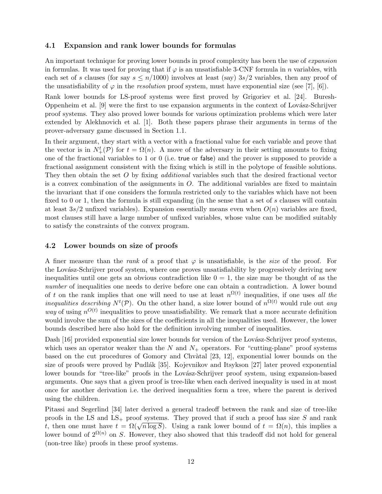### 4.1 Expansion and rank lower bounds for formulas

An important technique for proving lower bounds in proof complexity has been the use of *expansion* in formulas. It was used for proving that if  $\varphi$  is an unsatisfiable 3-CNF formula in *n* variables, with each set of s clauses (for say  $s \leq n/1000$ ) involves at least (say)  $3s/2$  variables, then any proof of the unsatisfiability of  $\varphi$  in the resolution proof system, must have exponential size (see [7], [6]).

Rank lower bounds for LS-proof systems were first proved by Grigoriev et al. [24]. Buresh-Oppenheim et al. [9] were the first to use expansion arguments in the context of Lovász-Schrijver proof systems. They also proved lower bounds for various optimization problems which were later extended by Alekhnovich et al. [1]. Both these papers phrase their arguments in terms of the prover-adversary game discussed in Section 1.1.

In their argument, they start with a vector with a fractional value for each variable and prove that the vector is in  $N^t_+(\mathcal{P})$  for  $t = \Omega(n)$ . A move of the adversary in their setting amounts to fixing one of the fractional variables to 1 or 0 (i.e. true or false) and the prover is supposed to provide a fractional assignment consistent with the fixing which is still in the polytope of feasible solutions. They then obtain the set O by fixing *additional* variables such that the desired fractional vector is a convex combination of the assignments in  $O$ . The additional variables are fixed to maintain the invariant that if one considers the formula restricted only to the variables which have not been fixed to 0 or 1, then the formula is still expanding (in the sense that a set of s clauses will contain at least  $3s/2$  unfixed variables). Expansion essentially means even when  $O(n)$  variables are fixed, most clauses still have a large number of unfixed variables, whose value can be modified suitably to satisfy the constraints of the convex program.

### 4.2 Lower bounds on size of proofs

A finer measure than the rank of a proof that  $\varphi$  is unsatisfiable, is the size of the proof. For the Lovász-Schrijver proof system, where one proves unsatisfiability by progressively deriving new inequalities until one gets an obvious contradiction like  $0 = 1$ , the size may be thought of as the number of inequalities one needs to derive before one can obtain a contradiction. A lower bound of t on the rank implies that one will need to use at least  $n^{\Omega(t)}$  inequalities, if one uses all the *inequalities describing*  $N^t(\mathcal{P})$ . On the other hand, a size lower bound of  $n^{\Omega(t)}$  would rule out any *way* of using  $n^{O(t)}$  inequalities to prove unsatisfiability. We remark that a more accurate definition would involve the sum of the sizes of the coefficients in all the inequalities used. However, the lower bounds described here also hold for the definition involving number of inequalities.

Dash [16] provided exponential size lower bounds for version of the Lovász-Schrijver proof systems, which uses an operator weaker than the  $N$  and  $N_+$  operators. For "cutting-plane" proof systems based on the cut procedures of Gomory and Chvàtal [23, 12], exponential lower bounds on the size of proofs were proved by Pudlák [35]. Kojevnikov and Itsykson [27] later proved exponential lower bounds for "tree-like" proofs in the Lovász-Schrijver proof system, using expansion-based arguments. One says that a given proof is tree-like when each derived inequality is used in at most once for another derivation i.e. the derived inequalities form a tree, where the parent is derived using the children.

Pitassi and Segerlind [34] later derived a general tradeoff between the rank and size of tree-like proofs in the LS and  $LS_+$  proof systems. They proved that if such a proof has size S and rank t, then one must have  $t = \Omega(\sqrt{n \log S})$ . Using a rank lower bound of  $t = \Omega(n)$ , this implies a lower bound of  $2^{\Omega(n)}$  on S. However, they also showed that this tradeoff did not hold for general (non-tree like) proofs in these proof systems.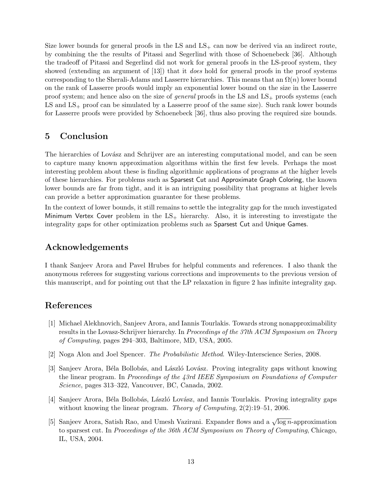Size lower bounds for general proofs in the LS and  $LS_{+}$  can now be derived via an indirect route, by combining the the results of Pitassi and Segerlind with those of Schoenebeck [36]. Although the tradeoff of Pitassi and Segerlind did not work for general proofs in the LS-proof system, they showed (extending an argument of [13]) that it *does* hold for general proofs in the proof systems corresponding to the Sherali-Adams and Lasserre hierarchies. This means that an  $\Omega(n)$  lower bound on the rank of Lasserre proofs would imply an exponential lower bound on the size in the Lasserre proof system; and hence also on the size of *general* proofs in the LS and  $LS_{+}$  proofs systems (each  $LS$  and  $LS_{+}$  proof can be simulated by a Lasserre proof of the same size). Such rank lower bounds for Lasserre proofs were provided by Schoenebeck [36], thus also proving the required size bounds.

# 5 Conclusion

The hierarchies of Lovász and Schrijver are an interesting computational model, and can be seen to capture many known approximation algorithms within the first few levels. Perhaps the most interesting problem about these is finding algorithmic applications of programs at the higher levels of these hierarchies. For problems such as Sparsest Cut and Approximate Graph Coloring, the known lower bounds are far from tight, and it is an intriguing possibility that programs at higher levels can provide a better approximation guarantee for these problems.

In the context of lower bounds, it still remains to settle the integrality gap for the much investigated Minimum Vertex Cover problem in the  $LS_+$  hierarchy. Also, it is interesting to investigate the integrality gaps for other optimization problems such as Sparsest Cut and Unique Games.

# Acknowledgements

I thank Sanjeev Arora and Pavel Hrubes for helpful comments and references. I also thank the anonymous referees for suggesting various corrections and improvements to the previous version of this manuscript, and for pointing out that the LP relaxation in figure 2 has infinite integrality gap.

# References

- [1] Michael Alekhnovich, Sanjeev Arora, and Iannis Tourlakis. Towards strong nonapproximability results in the Lovasz-Schrijver hierarchy. In Proceedings of the 37th ACM Symposium on Theory of Computing, pages 294–303, Baltimore, MD, USA, 2005.
- [2] Noga Alon and Joel Spencer. The Probabilistic Method. Wiley-Interscience Series, 2008.
- [3] Sanjeev Arora, Béla Bollobás, and László Lovász. Proving integrality gaps without knowing the linear program. In Proceedings of the 43rd IEEE Symposium on Foundations of Computer Science, pages 313–322, Vancouver, BC, Canada, 2002.
- [4] Sanjeev Arora, B´ela Bollob´as, L´aszl´o Lov´asz, and Iannis Tourlakis. Proving integrality gaps without knowing the linear program. Theory of Computing,  $2(2)$ :19–51, 2006.
- [5] Sanjeev Arora, Satish Rao, and Umesh Vazirani. Expander flows and a  $\sqrt{\log n}$ -approximation to sparsest cut. In Proceedings of the 36th ACM Symposium on Theory of Computing, Chicago, IL, USA, 2004.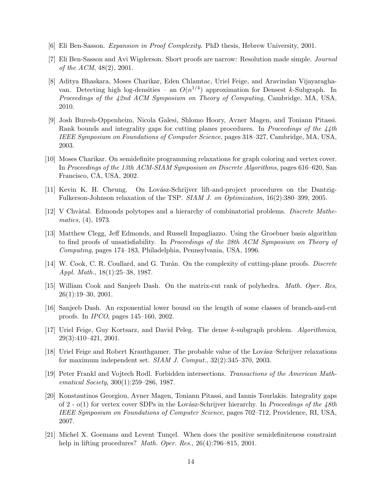- [6] Eli Ben-Sasson. Expansion in Proof Complexity. PhD thesis, Hebrew University, 2001.
- [7] Eli Ben-Sasson and Avi Wigderson. Short proofs are narrow: Resolution made simple. Journal of the ACM, 48(2), 2001.
- [8] Aditya Bhaskara, Moses Charikar, Eden Chlamtac, Uriel Feige, and Aravindan Vijayaraghavan. Detecting high log-densities – an  $O(n^{1/4})$  approximation for Densest k-Subgraph. In Proceedings of the 42nd ACM Symposium on Theory of Computing, Cambridge, MA, USA, 2010.
- [9] Josh Buresh-Oppenheim, Nicola Galesi, Shlomo Hoory, Avner Magen, and Toniann Pitassi. Rank bounds and integrality gaps for cutting planes procedures. In Proceedings of the 44th IEEE Symposium on Foundations of Computer Science, pages 318–327, Cambridge, MA, USA, 2003.
- [10] Moses Charikar. On semidefinite programming relaxations for graph coloring and vertex cover. In Proceedings of the 13th ACM-SIAM Symposium on Discrete Algorithms, pages 616–620, San Francisco, CA, USA, 2002.
- [11] Kevin K. H. Cheung. On Lov´asz-Schrijver lift-and-project procedures on the Dantzig-Fulkerson-Johnson relaxation of the TSP. SIAM J. on Optimization, 16(2):380–399, 2005.
- [12] V Chvàtal. Edmonds polytopes and a hierarchy of combinatorial problems. Discrete Mathematics, (4), 1973.
- [13] Matthew Clegg, Jeff Edmonds, and Russell Impagliazzo. Using the Groebner basis algorithm to find proofs of unsatisfiability. In Proceedings of the 28th ACM Symposium on Theory of Computing, pages 174–183, Philadelphia, Pennsylvania, USA, 1996.
- [14] W. Cook, C. R. Coullard, and G. Turán. On the complexity of cutting-plane proofs. Discrete Appl. Math., 18(1):25–38, 1987.
- [15] William Cook and Sanjeeb Dash. On the matrix-cut rank of polyhedra. Math. Oper. Res, 26(1):19–30, 2001.
- [16] Sanjeeb Dash. An exponential lower bound on the length of some classes of branch-and-cut proofs. In IPCO, pages 145–160, 2002.
- [17] Uriel Feige, Guy Kortsarz, and David Peleg. The dense k-subgraph problem. Algorithmica, 29(3):410–421, 2001.
- [18] Uriel Feige and Robert Krauthgamer. The probable value of the Lovász–Schrijver relaxations for maximum independent set. SIAM J. Comput., 32(2):345–370, 2003.
- [19] Peter Frankl and Vojtech Rodl. Forbidden intersections. Transactions of the American Mathematical Society, 300(1):259–286, 1987.
- [20] Konstantinos Georgiou, Avner Magen, Toniann Pitassi, and Iannis Tourlakis. Integrality gaps of 2 -  $o(1)$  for vertex cover SDPs in the Lovász-Schrijver hierarchy. In Proceedings of the 48th IEEE Symposium on Foundations of Computer Science, pages 702–712, Providence, RI, USA, 2007.
- [21] Michel X. Goemans and Levent Tunçel. When does the positive semidefiniteness constraint help in lifting procedures? *Math. Oper. Res.*, 26(4):796–815, 2001.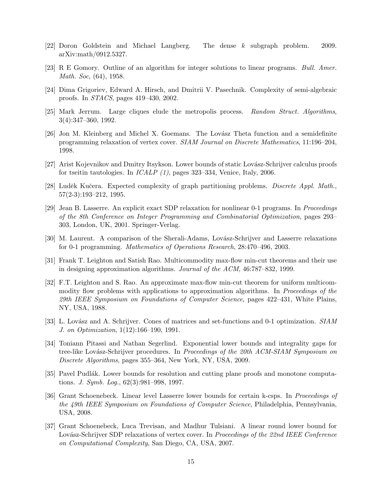- [22] Doron Goldstein and Michael Langberg. The dense k subgraph problem. 2009. arXiv:math/0912.5327.
- [23] R E Gomory. Outline of an algorithm for integer solutions to linear programs. Bull. Amer. Math. Soc, (64), 1958.
- [24] Dima Grigoriev, Edward A. Hirsch, and Dmitrii V. Pasechnik. Complexity of semi-algebraic proofs. In STACS, pages 419–430, 2002.
- [25] Mark Jerrum. Large cliques elude the metropolis process. Random Struct. Algorithms, 3(4):347–360, 1992.
- [26] Jon M. Kleinberg and Michel X. Goemans. The Lovász Theta function and a semidefinite programming relaxation of vertex cover. SIAM Journal on Discrete Mathematics, 11:196–204, 1998.
- [27] Arist Kojevnikov and Dmitry Itsykson. Lower bounds of static Lovász-Schrijver calculus proofs for tseitin tautologies. In ICALP (1), pages 323–334, Venice, Italy, 2006.
- [28] Luděk Kučera. Expected complexity of graph partitioning problems. Discrete Appl. Math., 57(2-3):193–212, 1995.
- [29] Jean B. Lasserre. An explicit exact SDP relaxation for nonlinear 0-1 programs. In Proceedings of the 8th Conference on Integer Programming and Combinatorial Optimization, pages 293– 303, London, UK, 2001. Springer-Verlag.
- [30] M. Laurent. A comparison of the Sherali-Adams, Lovász-Schrijver and Lasserre relaxations for 0-1 programming. Mathematics of Operations Research, 28:470–496, 2003.
- [31] Frank T. Leighton and Satish Rao. Multicommodity max-flow min-cut theorems and their use in designing approximation algorithms. Journal of the ACM, 46:787–832, 1999.
- [32] F.T. Leighton and S. Rao. An approximate max-flow min-cut theorem for uniform multicommodity flow problems with applications to approximation algorithms. In *Proceedings of the* 29th IEEE Symposium on Foundations of Computer Science, pages 422–431, White Plains, NY, USA, 1988.
- [33] L. Lovász and A. Schrijver. Cones of matrices and set-functions and 0-1 optimization. SIAM J. on Optimization, 1(12):166–190, 1991.
- [34] Toniann Pitassi and Nathan Segerlind. Exponential lower bounds and integrality gaps for tree-like Lovász-Schrijver procedures. In Proceedings of the 20th ACM-SIAM Symposium on Discrete Algorithms, pages 355–364, New York, NY, USA, 2009.
- [35] Pavel Pudlák. Lower bounds for resolution and cutting plane proofs and monotone computations. J. Symb. Log.,  $62(3):981-998$ , 1997.
- [36] Grant Schoenebeck. Linear level Lasserre lower bounds for certain k-csps. In Proceedings of the 49th IEEE Symposium on Foundations of Computer Science, Philadelphia, Pennsylvania, USA, 2008.
- [37] Grant Schoenebeck, Luca Trevisan, and Madhur Tulsiani. A linear round lower bound for Lovász-Schrijver SDP relaxations of vertex cover. In Proceedings of the 22nd IEEE Conference on Computational Complexity, San Diego, CA, USA, 2007.